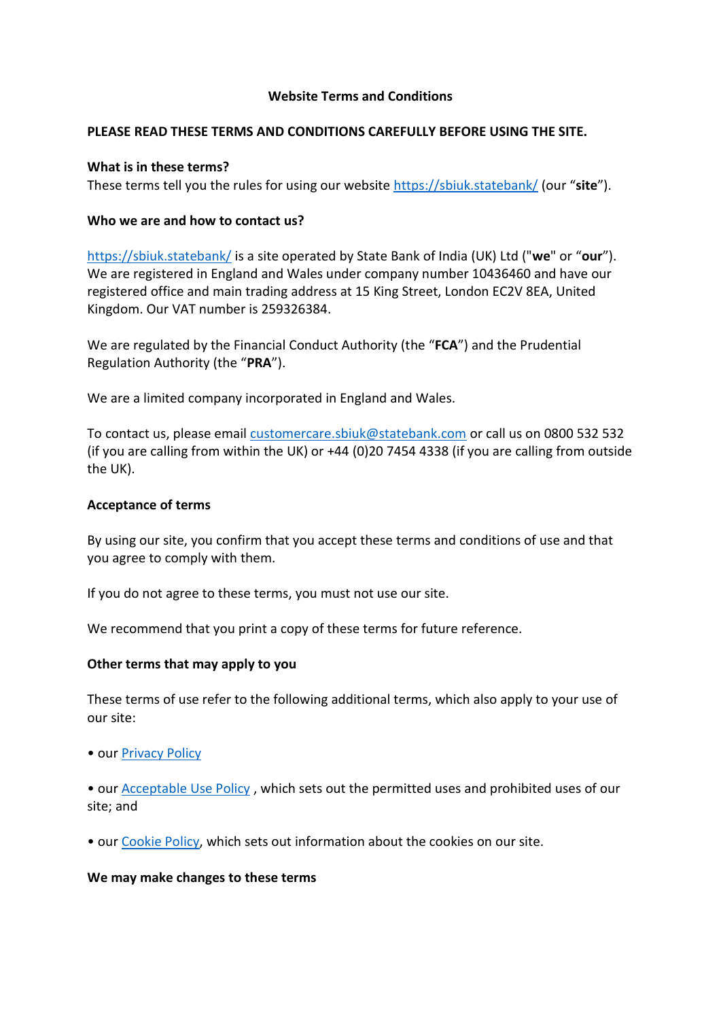### **Website Terms and Conditions**

### **PLEASE READ THESE TERMS AND CONDITIONS CAREFULLY BEFORE USING THE SITE.**

## **What is in these terms?**

These terms tell you the rules for using our website<https://sbiuk.statebank/> (our "**site**").

## **Who we are and how to contact us?**

<https://sbiuk.statebank/> is a site operated by State Bank of India (UK) Ltd ("**we**" or "**our**"). We are registered in England and Wales under company number 10436460 and have our registered office and main trading address at 15 King Street, London EC2V 8EA, United Kingdom. Our VAT number is 259326384.

We are regulated by the Financial Conduct Authority (the "**FCA**") and the Prudential Regulation Authority (the "**PRA**").

We are a limited company incorporated in England and Wales.

To contact us, please email [customercare.sbiuk@statebank.com](mailto:customercare.sbiuk@statebank.com) or call us on 0800 532 532 (if you are calling from within the UK) or +44 (0)20 7454 4338 (if you are calling from outside the UK).

### **Acceptance of terms**

By using our site, you confirm that you accept these terms and conditions of use and that you agree to comply with them.

If you do not agree to these terms, you must not use our site.

We recommend that you print a copy of these terms for future reference.

# **Other terms that may apply to you**

These terms of use refer to the following additional terms, which also apply to your use of our site:

- our [Privacy Policy](https://sbiuk.statebank/privacy-policy)
- our [Acceptable Use Policy](https://sbiuk.statebank/documents/274771/275443/SBIUK+-+Acceptable+Use+Policy.pdf/cd712a4b-cd63-a2c3-d805-d54767da1e4f?t=1613137354120) , which sets out the permitted uses and prohibited uses of our site; and
- our [Cookie Policy,](https://sbiuk.statebank/cookie-policy) which sets out information about the cookies on our site.

#### **We may make changes to these terms**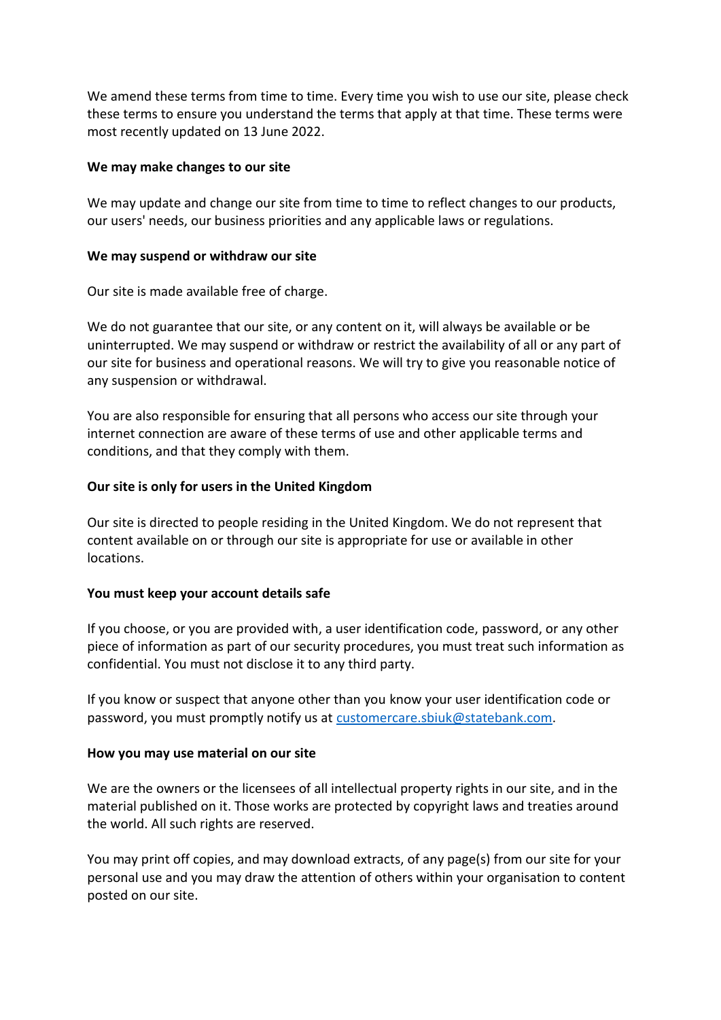We amend these terms from time to time. Every time you wish to use our site, please check these terms to ensure you understand the terms that apply at that time. These terms were most recently updated on 13 June 2022.

### **We may make changes to our site**

We may update and change our site from time to time to reflect changes to our products, our users' needs, our business priorities and any applicable laws or regulations.

## **We may suspend or withdraw our site**

Our site is made available free of charge.

We do not guarantee that our site, or any content on it, will always be available or be uninterrupted. We may suspend or withdraw or restrict the availability of all or any part of our site for business and operational reasons. We will try to give you reasonable notice of any suspension or withdrawal.

You are also responsible for ensuring that all persons who access our site through your internet connection are aware of these terms of use and other applicable terms and conditions, and that they comply with them.

# **Our site is only for users in the United Kingdom**

Our site is directed to people residing in the United Kingdom. We do not represent that content available on or through our site is appropriate for use or available in other locations.

# **You must keep your account details safe**

If you choose, or you are provided with, a user identification code, password, or any other piece of information as part of our security procedures, you must treat such information as confidential. You must not disclose it to any third party.

If you know or suspect that anyone other than you know your user identification code or password, you must promptly notify us at [customercare.sbiuk@statebank.com.](mailto:customercare.sbiuk@statebank.com)

# **How you may use material on our site**

We are the owners or the licensees of all intellectual property rights in our site, and in the material published on it. Those works are protected by copyright laws and treaties around the world. All such rights are reserved.

You may print off copies, and may download extracts, of any page(s) from our site for your personal use and you may draw the attention of others within your organisation to content posted on our site.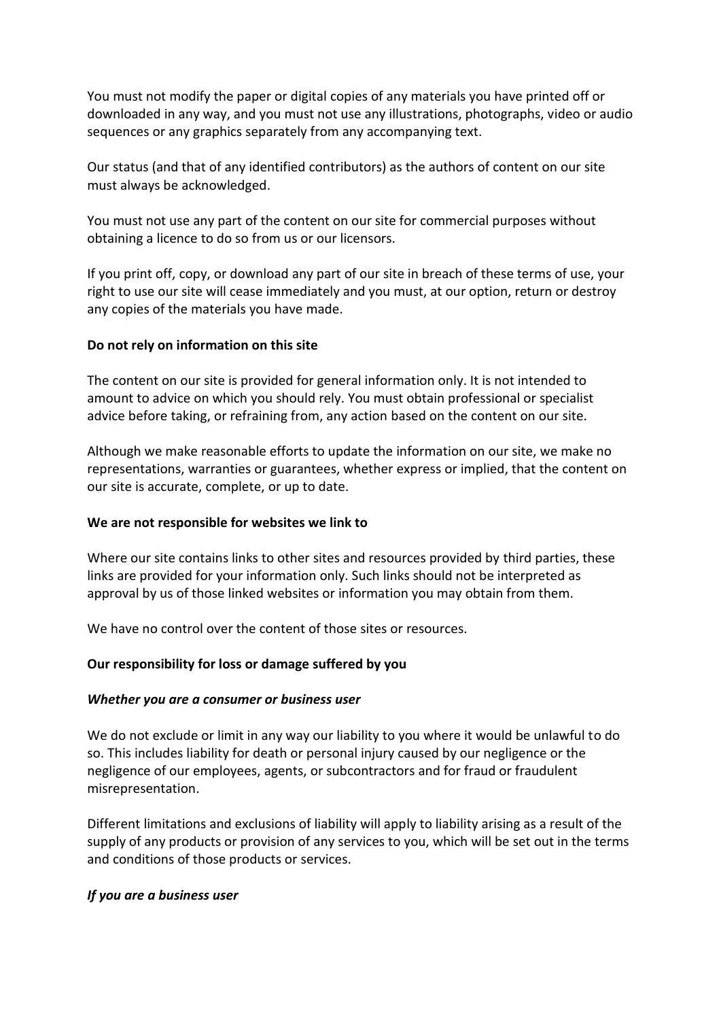You must not modify the paper or digital copies of any materials you have printed off or downloaded in any way, and you must not use any illustrations, photographs, video or audio sequences or any graphics separately from any accompanying text.

Our status (and that of any identified contributors) as the authors of content on our site must always be acknowledged.

You must not use any part of the content on our site for commercial purposes without obtaining a licence to do so from us or our licensors.

If you print off, copy, or download any part of our site in breach of these terms of use, your right to use our site will cease immediately and you must, at our option, return or destroy any copies of the materials you have made.

# **Do not rely on information on this site**

The content on our site is provided for general information only. It is not intended to amount to advice on which you should rely. You must obtain professional or specialist advice before taking, or refraining from, any action based on the content on our site.

Although we make reasonable efforts to update the information on our site, we make no representations, warranties or guarantees, whether express or implied, that the content on our site is accurate, complete, or up to date.

#### **We are not responsible for websites we link to**

Where our site contains links to other sites and resources provided by third parties, these links are provided for your information only. Such links should not be interpreted as approval by us of those linked websites or information you may obtain from them.

We have no control over the content of those sites or resources.

# **Our responsibility for loss or damage suffered by you**

#### *Whether you are a consumer or business user*

We do not exclude or limit in any way our liability to you where it would be unlawful to do so. This includes liability for death or personal injury caused by our negligence or the negligence of our employees, agents, or subcontractors and for fraud or fraudulent misrepresentation.

Different limitations and exclusions of liability will apply to liability arising as a result of the supply of any products or provision of any services to you, which will be set out in the terms and conditions of those products or services.

#### *If you are a business user*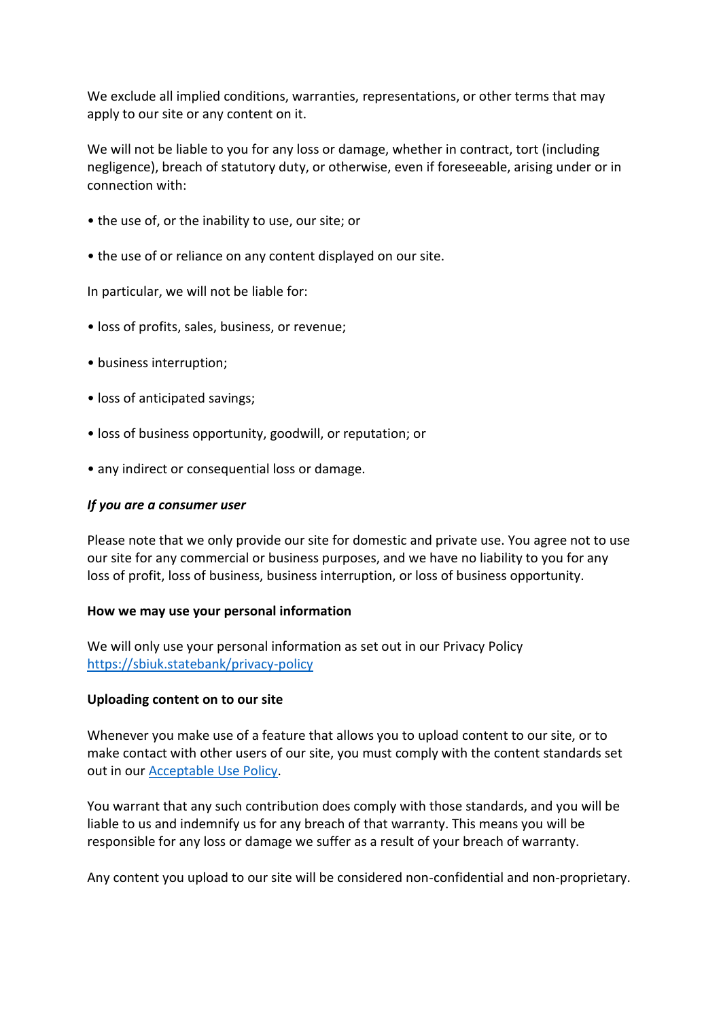We exclude all implied conditions, warranties, representations, or other terms that may apply to our site or any content on it.

We will not be liable to you for any loss or damage, whether in contract, tort (including negligence), breach of statutory duty, or otherwise, even if foreseeable, arising under or in connection with:

- the use of, or the inability to use, our site; or
- the use of or reliance on any content displayed on our site.

In particular, we will not be liable for:

- loss of profits, sales, business, or revenue;
- business interruption;
- loss of anticipated savings;
- loss of business opportunity, goodwill, or reputation; or
- any indirect or consequential loss or damage.

## *If you are a consumer user*

Please note that we only provide our site for domestic and private use. You agree not to use our site for any commercial or business purposes, and we have no liability to you for any loss of profit, loss of business, business interruption, or loss of business opportunity.

#### **How we may use your personal information**

We will only use your personal information as set out in our Privacy Policy <https://sbiuk.statebank/privacy-policy>

#### **Uploading content on to our site**

Whenever you make use of a feature that allows you to upload content to our site, or to make contact with other users of our site, you must comply with the content standards set out in ou[r Acceptable Use Policy.](https://sbiuk.statebank/documents/274771/275443/SBIUK+-+Acceptable+Use+Policy.pdf/cd712a4b-cd63-a2c3-d805-d54767da1e4f?t=1613137354120)

You warrant that any such contribution does comply with those standards, and you will be liable to us and indemnify us for any breach of that warranty. This means you will be responsible for any loss or damage we suffer as a result of your breach of warranty.

Any content you upload to our site will be considered non-confidential and non-proprietary.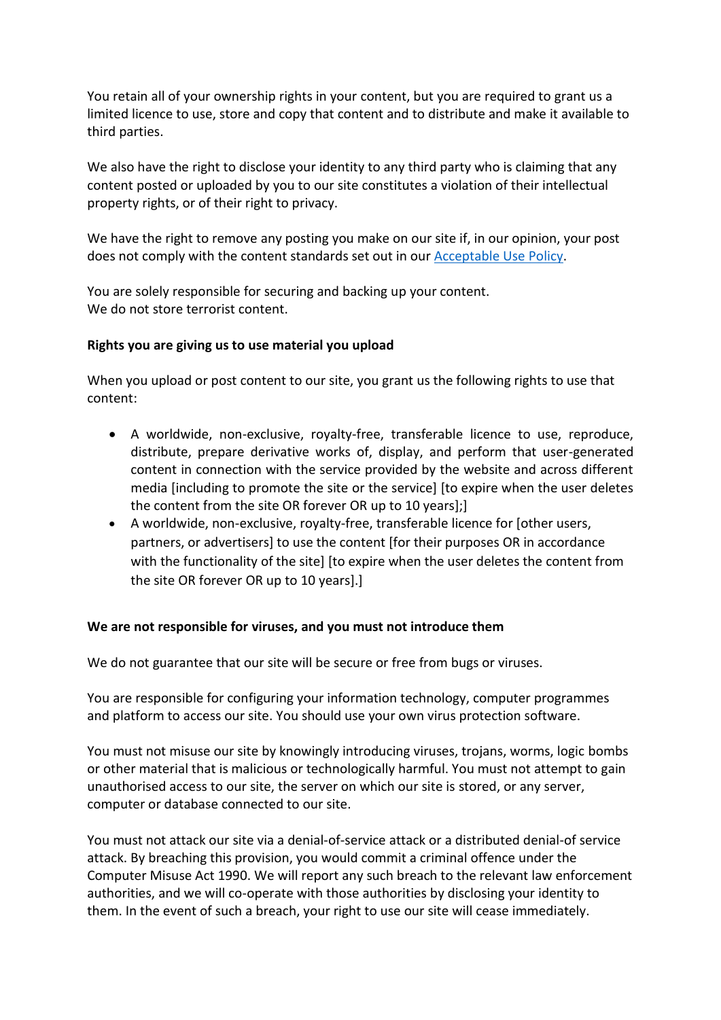You retain all of your ownership rights in your content, but you are required to grant us a limited licence to use, store and copy that content and to distribute and make it available to third parties.

We also have the right to disclose your identity to any third party who is claiming that any content posted or uploaded by you to our site constitutes a violation of their intellectual property rights, or of their right to privacy.

We have the right to remove any posting you make on our site if, in our opinion, your post does not comply with the content standards set out in our [Acceptable Use Policy.](https://sbiuk.statebank/documents/274771/275443/SBIUK+-+Acceptable+Use+Policy.pdf/cd712a4b-cd63-a2c3-d805-d54767da1e4f?t=1613137354120)

You are solely responsible for securing and backing up your content. We do not store terrorist content.

## **Rights you are giving us to use material you upload**

When you upload or post content to our site, you grant us the following rights to use that content:

- A worldwide, non-exclusive, royalty-free, transferable licence to use, reproduce, distribute, prepare derivative works of, display, and perform that user-generated content in connection with the service provided by the website and across different media [including to promote the site or the service] [to expire when the user deletes the content from the site OR forever OR up to 10 years];]
- A worldwide, non-exclusive, royalty-free, transferable licence for [other users, partners, or advertisers] to use the content [for their purposes OR in accordance with the functionality of the site] [to expire when the user deletes the content from the site OR forever OR up to 10 years].]

#### **We are not responsible for viruses, and you must not introduce them**

We do not guarantee that our site will be secure or free from bugs or viruses.

You are responsible for configuring your information technology, computer programmes and platform to access our site. You should use your own virus protection software.

You must not misuse our site by knowingly introducing viruses, trojans, worms, logic bombs or other material that is malicious or technologically harmful. You must not attempt to gain unauthorised access to our site, the server on which our site is stored, or any server, computer or database connected to our site.

You must not attack our site via a denial-of-service attack or a distributed denial-of service attack. By breaching this provision, you would commit a criminal offence under the Computer Misuse Act 1990. We will report any such breach to the relevant law enforcement authorities, and we will co-operate with those authorities by disclosing your identity to them. In the event of such a breach, your right to use our site will cease immediately.